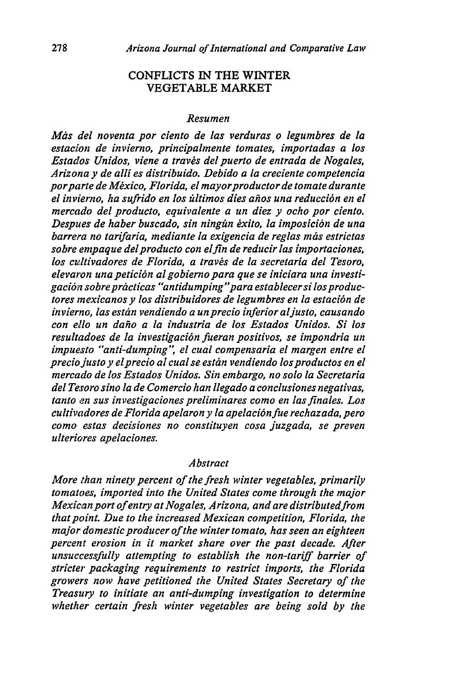## CONFLICTS IN THE WINTER VEGETABLE MARKET

## *Resumen*

Mds *del noventa por ciento de las verduras o legumbres de* la *estacion de invierno, principalmente tomates, importadas a los Estados Unidos, viene a travis delpuerto de entrada de Nogales, Arizona y de alli es distribuido. Debido a la creciente competencia porparte de Mexico, Florida, el mayorproductor de tomate durante el invierno, ha sufrido en los filtimos dies ahos una reducci6n en el mercado del producto, equivalente a un diez y ocho por ciento.* Despues de haber buscado, sin ningún éxito, la imposición de una *barrera no tarifaria, mediante la exigencia de reglas miis estrictas sobre empaque delproducto con elfin de reducir las importaciones,* los cultivadores de Florida, a través de la secretaria del Tesoro, elevaron una petición al gobierno para que se iniciara una investi*gaci6n sobreprizcticas "antidumping "para establecersi losproductores mexicanos y los distribuidores de legumbres en la estaci6n de invierno, las esten vendiendo a unprecio inferior aljusto, causando con ello un daho a la industria de los Estados Unidos. Si los resultadoes de la investigaci6n fueran positivos, se impondria un impuesto "anti-dumping", el cual compensaria el margen entre el preciojustoy elprecio al cualse esttn vendiendo losproductos en el mercado de los Estados Unidos. Sin embargo, no solo la Secretaria del Tesoro sino la de Comercio han llegado a conclusiones negativas,* tanto en sus investigaciones preliminares como en las finales. Los *cultivadores de Florida apelaron y la apelaci6nfue rechazada, pero como estas decisiones no constituyen cosa juzgada, se preven ulteriores apelaciones.*

## *Abstract*

*More than ninety percent of the fresh winter vegetables, primarily tomatoes, imported into the United States come through the major Mexican port of entry at Nogales, Arizona, and are distributed from that point. Due to the increased Mexican competition, Florida, the major domestic producer of the winter tomato, has seen an eighteen percent erosion in it market share over the past decade. After unsuccessfully attempting to establish the non-tariff barrier of stricter packaging requirements to restrict imports, the Florida growers now have petitioned the United States Secretary of the Treasury to initiate an anti-dumping investigation to determine whether certain fresh winter vegetables are being sold by the*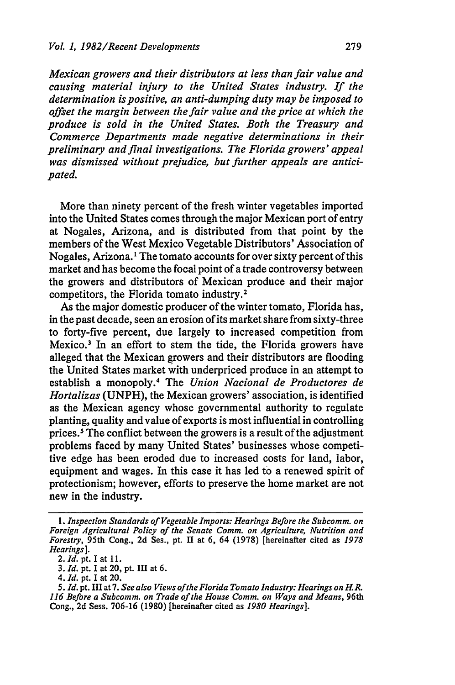*Mexican growers and their distributors at less than fair value and causing material injury to the United States industry. If the determination is positive, an anti-dumping duty may be imposed to offset the margin between the fair value and the price at which the produce is sold in the United States. Both the Treasury and Commerce Departments made negative determinations in their preliminary and final investigations. The Florida growers' appeal was dismissed without prejudice, but further appeals are anticipated.*

More than ninety percent of the fresh winter vegetables imported into the United States comes through the major Mexican port of entry at Nogales, Arizona, and is distributed from that point by the members of the West Mexico Vegetable Distributors' Association of Nogales, Arizona.<sup>1</sup> The tomato accounts for over sixty percent of this market and has become the focal point of a trade controversy between the growers and distributors of Mexican produce and their major competitors, the Florida tomato industry.<sup>2</sup>

As the major domestic producer of the winter tomato, Florida has, in the past decade, seen an erosion of its market share from sixty-three to forty-five percent, due largely to increased competition from Mexico.<sup>3</sup> In an effort to stem the tide, the Florida growers have alleged that the Mexican growers and their distributors are flooding the United States market with underpriced produce in an attempt to establish a monopoly. 4 The *Union Nacional de Productores de Hortalizas* (UNPH), the Mexican growers' association, is identified as the Mexican agency whose governmental authority to regulate planting, quality and value of exports is most influential in controlling prices.' The conflict between the growers is a result of the adjustment problems faced by many United States' businesses whose competitive edge has been eroded due to increased costs for land, labor, equipment and wages. In this case it has led to a renewed spirit of protectionism; however, efforts to preserve the home market are not new in the industry.

*<sup>1.</sup> Inspection Standards of Vegetable Imports: Hearings Before the Subcomm. on Foreign Agricultural Policy of the Senate Comm. on Agriculture, Nutrition and Forestry,* 95th Cong., 2d Ses., pt. II at 6, 64 (1978) [hereinafter cited as *1978 Hearings].*

<sup>2.</sup> *Id.* pt. I at **11.**

<sup>3.</sup> *Id.* pt. I at 20, pt. III at 6.

*<sup>4.</sup> Id.* pt. I at 20.

*<sup>5.</sup> Id.* pt. III at 7. *See also Views ofthe Florida Tomato Industry: Hearings on H.R. 116 Before a Subcomm. on Trade of the House Comm. on Ways and Means, 96th* Cong., 2d Sess. 706-16 (1980) [hereinafter cited as *1980 Hearings].*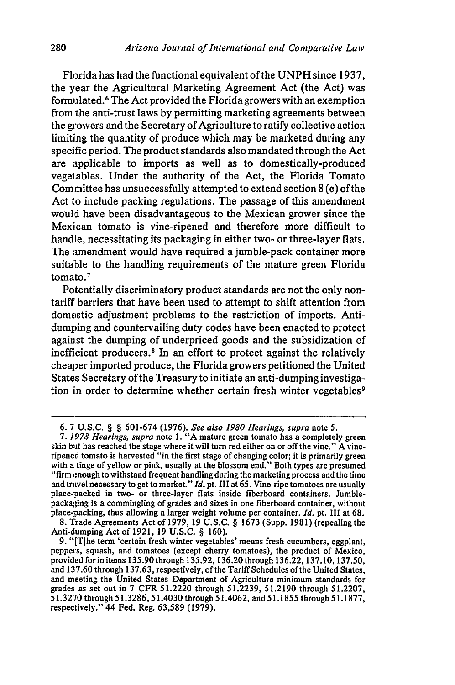Florida has had the functional equivalent of the UNPH since 1937, the year the Agricultural Marketing Agreement Act (the Act) was formulated. 6 The Act provided the Florida growers with an exemption from the anti-trust laws by permitting marketing agreements between the growers and the Secretary of Agriculture to ratify collective action limiting the quantity of produce which may be marketed during any specific period. The product standards also mandated through the Act are applicable to imports as well as to domestically-produced vegetables. Under the authority of the Act, the Florida Tomato Committee has unsuccessfully attempted to extend section 8 (e) of the Act to include packing regulations. The passage of this amendment would have been disadvantageous to the Mexican grower since the Mexican tomato is vine-ripened and therefore more difficult to handle, necessitating its packaging in either two- or three-layer flats. The amendment would have required a jumble-pack container more suitable to the handling requirements of the mature green Florida tomato. 7

Potentially discriminatory product standards are not the only nontariff barriers that have been used to attempt to shift attention from domestic adjustment problems to the restriction of imports. Antidumping and countervailing duty codes have been enacted to protect against the dumping of underpriced goods and the subsidization of inefficient producers. 8 In an effort to protect against the relatively cheaper imported produce, the Florida growers petitioned the United States Secretary of the Treasury to initiate an anti-dumping investigation in order to determine whether certain fresh winter vegetables<sup>9</sup>

8. Trade Agreements Act of 1979, 19 U.S.C. § 1673 (Supp. 1981) (repealing the Anti-dumping Act of 1921, 19 U.S.C. § 160).

280

<sup>6. 7</sup> U.S.C. § § 601-674 (1976). *See also 1980 Hearings, supra* note 5.

*<sup>7. 1978</sup> Hearings, supra* note 1. "A mature green tomato has a completely green skin but has reached the stage where it will turn red either on or off the vine." A vineripened tomato is harvested "in the first stage of changing color; it is primarily green with a tinge of yellow or pink, usually at the blossom end." Both types are presumed "firm enough to withstand frequent handling during the marketing process and the time and travel necessary to get to market." *Id.* pt. III at 65. Vine-ripe tomatoes are usually place-packed in two- or three-layer flats inside fiberboard containers. Jumblepackaging is a commingling of grades and sizes in one fiberboard container, without place-packing, thus allowing a larger weight volume per container. *Id.* pt. III at 68.

<sup>9. &</sup>quot;[T]he term 'certain fresh winter vegetables' means fresh cucumbers, eggplant, peppers, squash, and tomatoes (except cherry tomatoes), the product of Mexico, provided for in items 135.90 through 135.92, 136.20 through 136.22,137.10, 137.50, and 137.60 through 137.63, respectively, of the Tariff Schedules of the United States, and meeting the United States Department of Agriculture minimum standards for grades as set out in 7 CFR 51.2220 through 51.2239, 51.2190 through 51.2207, 51.3270 through 51.3286, 51.4030 through 51.4062, and 51.1855 through 51.1877, respectively." 44 Fed. Reg. 63,589 (1979).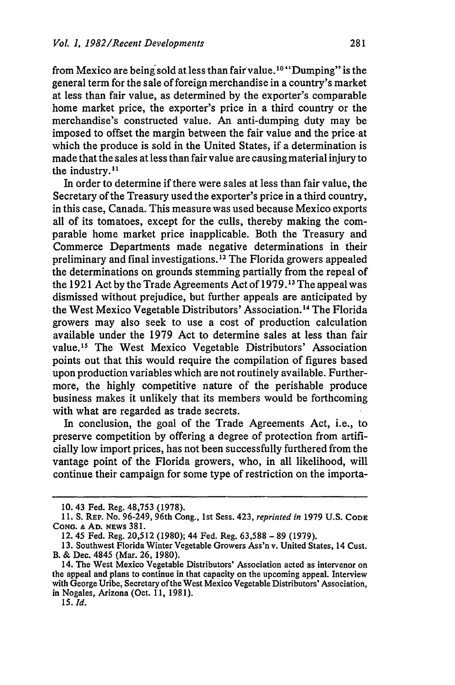from Mexico are being sold at less than fair value.<sup>10</sup> "Dumping" is the general term for the sale of foreign merchandise in a country's market at less than fair value, as determined by the exporter's comparable home market price, the exporter's price in a third country or the merchandise's constructed value. An anti-dumping duty may be imposed to offset the margin between the fair value and the price at which the produce is sold in the United States, if a determination is made that the sales at less than fair value are causing material injury to the industry.<sup>11</sup>

In order to determine if there were sales at less than fair value, the Secretary of the Treasury used the exporter's price in a third country, in this case, Canada. This measure was used because Mexico exports all of its tomatoes, except for the culls, thereby making the comparable home market price inapplicable. Both the Treasury and Commerce Departments made negative determinations in their preliminary and final investigations.12 The Florida growers appealed the determinations on grounds stemming partially from the repeal of the 1921 Act by the Trade Agreements Act of 1979.13 The appeal was dismissed without prejudice, but further appeals are anticipated by the West Mexico Vegetable Distributors' Association.14 The Florida growers may also seek to use a cost of production calculation available under the 1979 Act to determine sales at less than fair value.<sup>15</sup> The West Mexico Vegetable Distributors' Association points out that this would require the compilation of figures based upon production variables which are not routinely available. Furthermore, the highly competitive nature of the perishable produce business makes it unlikely that its members would be forthcoming with what are regarded as trade secrets.

In conclusion, the goal of the Trade Agreements Act, i.e., to preserve competition **by** offering a degree of protection from artificially low import prices, has not been successfully furthered from the vantage point of the Florida growers, who, in all likelihood, will continue their campaign for some type of restriction on the importa-

<sup>10. 43</sup> Fed. Reg. 48,753 (1978).

**<sup>11.</sup>** S. REP. No. 96-249, 96th Cong., 1st Sess. 423, *reprinted in* 1979 U.S. **CODE CONG. & AD.** NEWS 381.

<sup>12. 45</sup> Fed. Reg. 20,512 (1980); 44 Fed. Reg. 63,588 **-** 89 (1979).

<sup>13.</sup> Southwest Florida Winter Vegetable Growers Ass'n v. United States, 14 Cust. B. & Dec. 4845 (Mar. 26, 1980).

<sup>14.</sup> The West Mexico Vegetable Distributors' Association acted as intervenor on the appeal and plans to continue in that capacity on the upcoming appeal. Interview with George Uribe, Secretary of the West Mexico Vegetable Distributors' Association, in Nogales, Arizona (Oct. **11,** 1981).

*<sup>15.</sup> Id.*